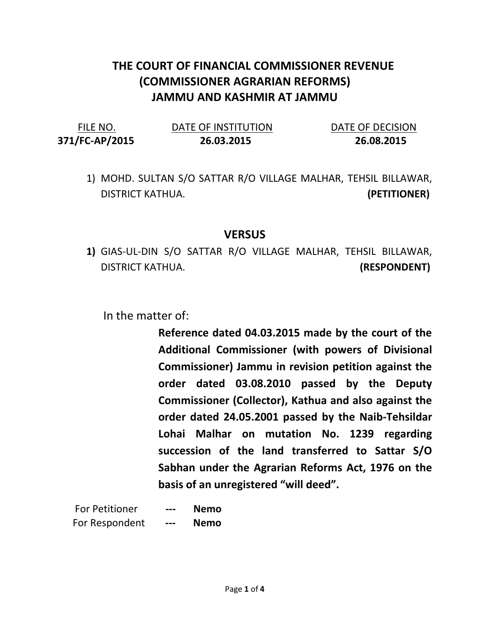## THE COURT OF FINANCIAL COMMISSIONER REVENUE (COMMISSIONER AGRARIAN REFORMS) JAMMU AND KASHMIR AT JAMMU

| FILE NO.       | DATE OF INSTITUTION | DATE OF DECISION |  |
|----------------|---------------------|------------------|--|
| 371/FC-AP/2015 | 26.03.2015          | 26.08.2015       |  |

1) MOHD. SULTAN S/O SATTAR R/O VILLAGE MALHAR, TEHSIL BILLAWAR, DISTRICT KATHUA. (PETITIONER)

## VERSUS

1) GIAS-UL-DIN S/O SATTAR R/O VILLAGE MALHAR, TEHSIL BILLAWAR, DISTRICT KATHUA. (RESPONDENT)

In the matter of:

Reference dated 04.03.2015 made by the court of the Additional Commissioner (with powers of Divisional Commissioner) Jammu in revision petition against the order dated 03.08.2010 passed by the Deputy Commissioner (Collector), Kathua and also against the order dated 24.05.2001 passed by the Naib-Tehsildar Lohai Malhar on mutation No. 1239 regarding succession of the land transferred to Sattar S/O Sabhan under the Agrarian Reforms Act, 1976 on the basis of an unregistered "will deed".

| <b>For Petitioner</b> | --- | Nemo        |
|-----------------------|-----|-------------|
| For Respondent        | --- | <b>Nemo</b> |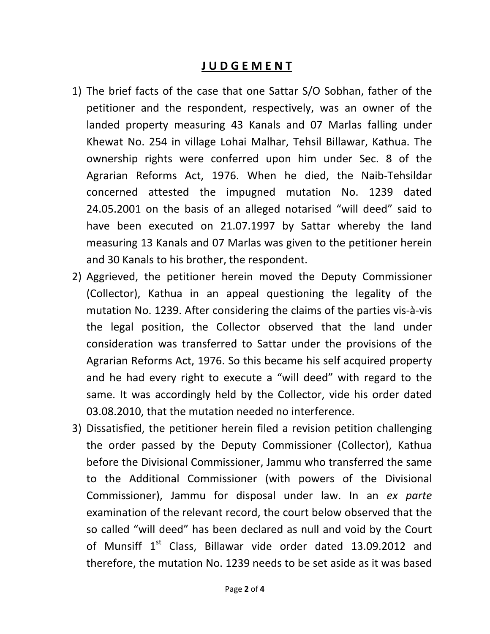## J U D G E M E N T

- 1) The brief facts of the case that one Sattar S/O Sobhan, father of the petitioner and the respondent, respectively, was an owner of the landed property measuring 43 Kanals and 07 Marlas falling under Khewat No. 254 in village Lohai Malhar, Tehsil Billawar, Kathua. The ownership rights were conferred upon him under Sec. 8 of the Agrarian Reforms Act, 1976. When he died, the Naib-Tehsildar concerned attested the impugned mutation No. 1239 dated 24.05.2001 on the basis of an alleged notarised "will deed" said to have been executed on 21.07.1997 by Sattar whereby the land measuring 13 Kanals and 07 Marlas was given to the petitioner herein and 30 Kanals to his brother, the respondent.
- 2) Aggrieved, the petitioner herein moved the Deputy Commissioner (Collector), Kathua in an appeal questioning the legality of the mutation No. 1239. After considering the claims of the parties vis-à-vis the legal position, the Collector observed that the land under consideration was transferred to Sattar under the provisions of the Agrarian Reforms Act, 1976. So this became his self acquired property and he had every right to execute a "will deed" with regard to the same. It was accordingly held by the Collector, vide his order dated 03.08.2010, that the mutation needed no interference.
- 3) Dissatisfied, the petitioner herein filed a revision petition challenging the order passed by the Deputy Commissioner (Collector), Kathua before the Divisional Commissioner, Jammu who transferred the same to the Additional Commissioner (with powers of the Divisional Commissioner), Jammu for disposal under law. In an ex parte examination of the relevant record, the court below observed that the so called "will deed" has been declared as null and void by the Court of Munsiff  $1<sup>st</sup>$  Class, Billawar vide order dated 13.09.2012 and therefore, the mutation No. 1239 needs to be set aside as it was based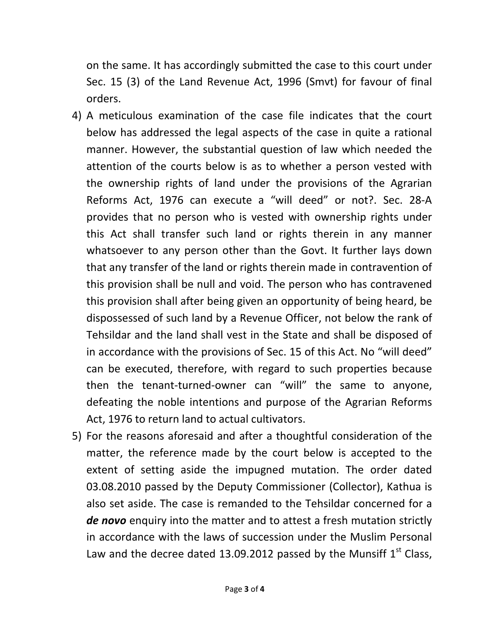on the same. It has accordingly submitted the case to this court under Sec. 15 (3) of the Land Revenue Act, 1996 (Smvt) for favour of final orders.

- 4) A meticulous examination of the case file indicates that the court below has addressed the legal aspects of the case in quite a rational manner. However, the substantial question of law which needed the attention of the courts below is as to whether a person vested with the ownership rights of land under the provisions of the Agrarian Reforms Act, 1976 can execute a "will deed" or not?. Sec. 28-A provides that no person who is vested with ownership rights under this Act shall transfer such land or rights therein in any manner whatsoever to any person other than the Govt. It further lays down that any transfer of the land or rights therein made in contravention of this provision shall be null and void. The person who has contravened this provision shall after being given an opportunity of being heard, be dispossessed of such land by a Revenue Officer, not below the rank of Tehsildar and the land shall vest in the State and shall be disposed of in accordance with the provisions of Sec. 15 of this Act. No "will deed" can be executed, therefore, with regard to such properties because then the tenant-turned-owner can "will" the same to anyone, defeating the noble intentions and purpose of the Agrarian Reforms Act, 1976 to return land to actual cultivators.
- 5) For the reasons aforesaid and after a thoughtful consideration of the matter, the reference made by the court below is accepted to the extent of setting aside the impugned mutation. The order dated 03.08.2010 passed by the Deputy Commissioner (Collector), Kathua is also set aside. The case is remanded to the Tehsildar concerned for a de novo enquiry into the matter and to attest a fresh mutation strictly in accordance with the laws of succession under the Muslim Personal Law and the decree dated 13.09.2012 passed by the Munsiff  $1<sup>st</sup>$  Class,